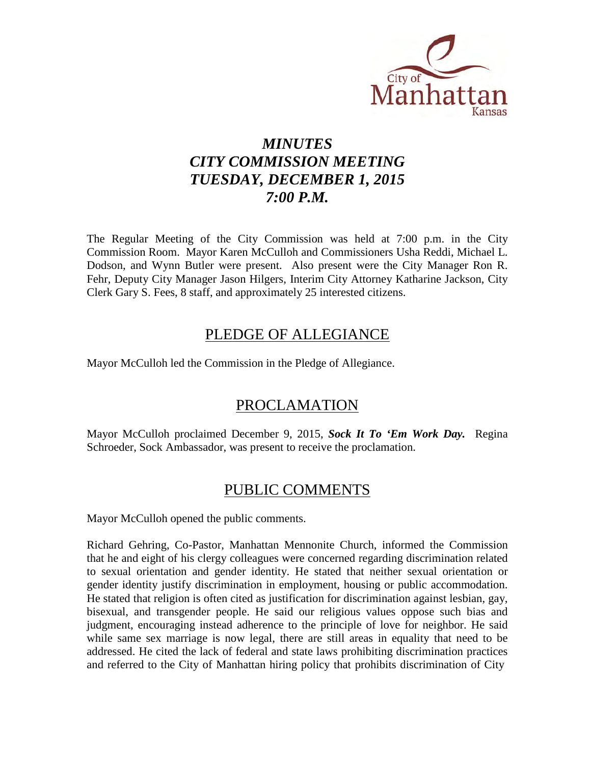

# *MINUTES CITY COMMISSION MEETING TUESDAY, DECEMBER 1, 2015 7:00 P.M.*

The Regular Meeting of the City Commission was held at 7:00 p.m. in the City Commission Room. Mayor Karen McCulloh and Commissioners Usha Reddi, Michael L. Dodson, and Wynn Butler were present. Also present were the City Manager Ron R. Fehr, Deputy City Manager Jason Hilgers, Interim City Attorney Katharine Jackson, City Clerk Gary S. Fees, 8 staff, and approximately 25 interested citizens.

## PLEDGE OF ALLEGIANCE

Mayor McCulloh led the Commission in the Pledge of Allegiance.

## PROCLAMATION

Mayor McCulloh proclaimed December 9, 2015, *Sock It To 'Em Work Day.* Regina Schroeder, Sock Ambassador, was present to receive the proclamation.

## PUBLIC COMMENTS

Mayor McCulloh opened the public comments.

Richard Gehring, Co-Pastor, Manhattan Mennonite Church, informed the Commission that he and eight of his clergy colleagues were concerned regarding discrimination related to sexual orientation and gender identity. He stated that neither sexual orientation or gender identity justify discrimination in employment, housing or public accommodation. He stated that religion is often cited as justification for discrimination against lesbian, gay, bisexual, and transgender people. He said our religious values oppose such bias and judgment, encouraging instead adherence to the principle of love for neighbor. He said while same sex marriage is now legal, there are still areas in equality that need to be addressed. He cited the lack of federal and state laws prohibiting discrimination practices and referred to the City of Manhattan hiring policy that prohibits discrimination of City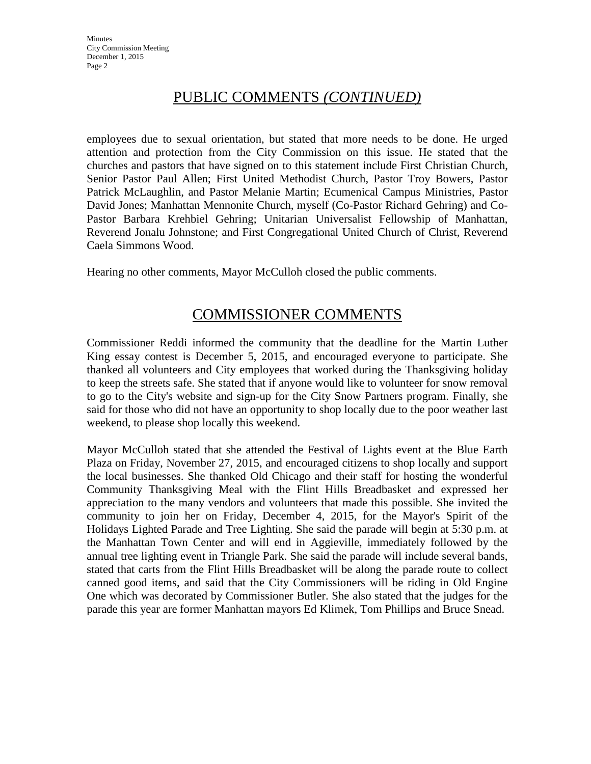## PUBLIC COMMENTS *(CONTINUED)*

employees due to sexual orientation, but stated that more needs to be done. He urged attention and protection from the City Commission on this issue. He stated that the churches and pastors that have signed on to this statement include First Christian Church, Senior Pastor Paul Allen; First United Methodist Church, Pastor Troy Bowers, Pastor Patrick McLaughlin, and Pastor Melanie Martin; Ecumenical Campus Ministries, Pastor David Jones; Manhattan Mennonite Church, myself (Co-Pastor Richard Gehring) and Co-Pastor Barbara Krehbiel Gehring; Unitarian Universalist Fellowship of Manhattan, Reverend Jonalu Johnstone; and First Congregational United Church of Christ, Reverend Caela Simmons Wood.

Hearing no other comments, Mayor McCulloh closed the public comments.

# COMMISSIONER COMMENTS

Commissioner Reddi informed the community that the deadline for the Martin Luther King essay contest is December 5, 2015, and encouraged everyone to participate. She thanked all volunteers and City employees that worked during the Thanksgiving holiday to keep the streets safe. She stated that if anyone would like to volunteer for snow removal to go to the City's website and sign-up for the City Snow Partners program. Finally, she said for those who did not have an opportunity to shop locally due to the poor weather last weekend, to please shop locally this weekend.

Mayor McCulloh stated that she attended the Festival of Lights event at the Blue Earth Plaza on Friday, November 27, 2015, and encouraged citizens to shop locally and support the local businesses. She thanked Old Chicago and their staff for hosting the wonderful Community Thanksgiving Meal with the Flint Hills Breadbasket and expressed her appreciation to the many vendors and volunteers that made this possible. She invited the community to join her on Friday, December 4, 2015, for the Mayor's Spirit of the Holidays Lighted Parade and Tree Lighting. She said the parade will begin at 5:30 p.m. at the Manhattan Town Center and will end in Aggieville, immediately followed by the annual tree lighting event in Triangle Park. She said the parade will include several bands, stated that carts from the Flint Hills Breadbasket will be along the parade route to collect canned good items, and said that the City Commissioners will be riding in Old Engine One which was decorated by Commissioner Butler. She also stated that the judges for the parade this year are former Manhattan mayors Ed Klimek, Tom Phillips and Bruce Snead.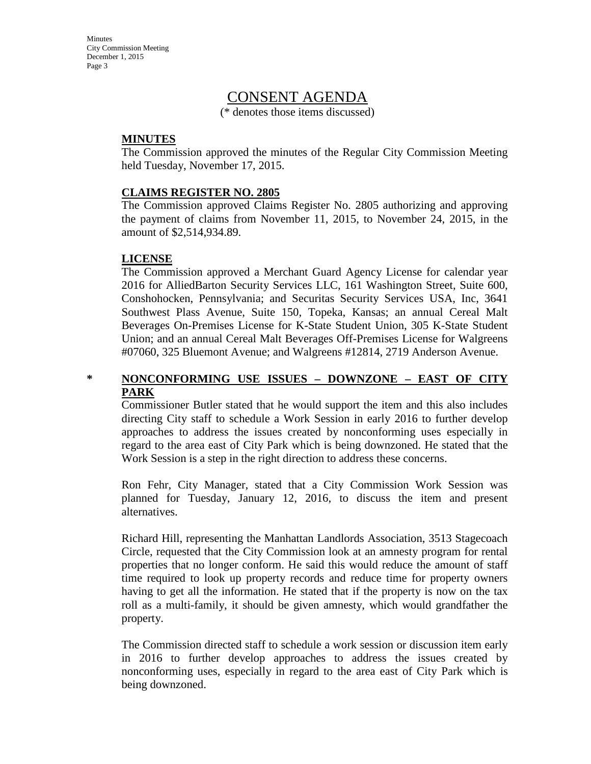## CONSENT AGENDA

(\* denotes those items discussed)

#### **MINUTES**

The Commission approved the minutes of the Regular City Commission Meeting held Tuesday, November 17, 2015.

#### **CLAIMS REGISTER NO. 2805**

The Commission approved Claims Register No. 2805 authorizing and approving the payment of claims from November 11, 2015, to November 24, 2015, in the amount of \$2,514,934.89.

#### **LICENSE**

The Commission approved a Merchant Guard Agency License for calendar year 2016 for AlliedBarton Security Services LLC, 161 Washington Street, Suite 600, Conshohocken, Pennsylvania; and Securitas Security Services USA, Inc, 3641 Southwest Plass Avenue, Suite 150, Topeka, Kansas; an annual Cereal Malt Beverages On-Premises License for K-State Student Union, 305 K-State Student Union; and an annual Cereal Malt Beverages Off-Premises License for Walgreens #07060, 325 Bluemont Avenue; and Walgreens #12814, 2719 Anderson Avenue.

#### **\* NONCONFORMING USE ISSUES – DOWNZONE – EAST OF CITY PARK**

Commissioner Butler stated that he would support the item and this also includes directing City staff to schedule a Work Session in early 2016 to further develop approaches to address the issues created by nonconforming uses especially in regard to the area east of City Park which is being downzoned. He stated that the Work Session is a step in the right direction to address these concerns.

Ron Fehr, City Manager, stated that a City Commission Work Session was planned for Tuesday, January 12, 2016, to discuss the item and present alternatives.

Richard Hill, representing the Manhattan Landlords Association, 3513 Stagecoach Circle, requested that the City Commission look at an amnesty program for rental properties that no longer conform. He said this would reduce the amount of staff time required to look up property records and reduce time for property owners having to get all the information. He stated that if the property is now on the tax roll as a multi-family, it should be given amnesty, which would grandfather the property.

The Commission directed staff to schedule a work session or discussion item early in 2016 to further develop approaches to address the issues created by nonconforming uses, especially in regard to the area east of City Park which is being downzoned.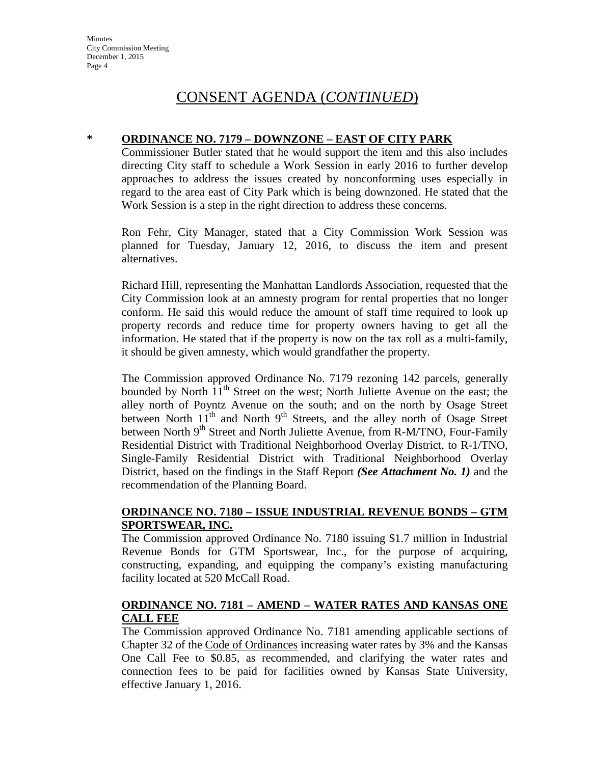#### **\* ORDINANCE NO. 7179 – DOWNZONE – EAST OF CITY PARK**

Commissioner Butler stated that he would support the item and this also includes directing City staff to schedule a Work Session in early 2016 to further develop approaches to address the issues created by nonconforming uses especially in regard to the area east of City Park which is being downzoned. He stated that the Work Session is a step in the right direction to address these concerns.

Ron Fehr, City Manager, stated that a City Commission Work Session was planned for Tuesday, January 12, 2016, to discuss the item and present alternatives.

Richard Hill, representing the Manhattan Landlords Association, requested that the City Commission look at an amnesty program for rental properties that no longer conform. He said this would reduce the amount of staff time required to look up property records and reduce time for property owners having to get all the information. He stated that if the property is now on the tax roll as a multi-family, it should be given amnesty, which would grandfather the property.

The Commission approved Ordinance No. 7179 rezoning 142 parcels, generally bounded by North 11<sup>th</sup> Street on the west; North Juliette Avenue on the east; the alley north of Poyntz Avenue on the south; and on the north by Osage Street between North 11<sup>th</sup> and North 9<sup>th</sup> Streets, and the alley north of Osage Street between North  $9<sup>th</sup>$  Street and North Juliette Avenue, from R-M/TNO, Four-Family Residential District with Traditional Neighborhood Overlay District, to R-1/TNO, Single-Family Residential District with Traditional Neighborhood Overlay District, based on the findings in the Staff Report *(See Attachment No. 1)* and the recommendation of the Planning Board.

#### **ORDINANCE NO. 7180 – ISSUE INDUSTRIAL REVENUE BONDS – GTM SPORTSWEAR, INC.**

The Commission approved Ordinance No. 7180 issuing \$1.7 million in Industrial Revenue Bonds for GTM Sportswear, Inc., for the purpose of acquiring, constructing, expanding, and equipping the company's existing manufacturing facility located at 520 McCall Road.

#### **ORDINANCE NO. 7181 – AMEND – WATER RATES AND KANSAS ONE CALL FEE**

The Commission approved Ordinance No. 7181 amending applicable sections of Chapter 32 of the Code of Ordinances increasing water rates by 3% and the Kansas One Call Fee to \$0.85, as recommended, and clarifying the water rates and connection fees to be paid for facilities owned by Kansas State University, effective January 1, 2016.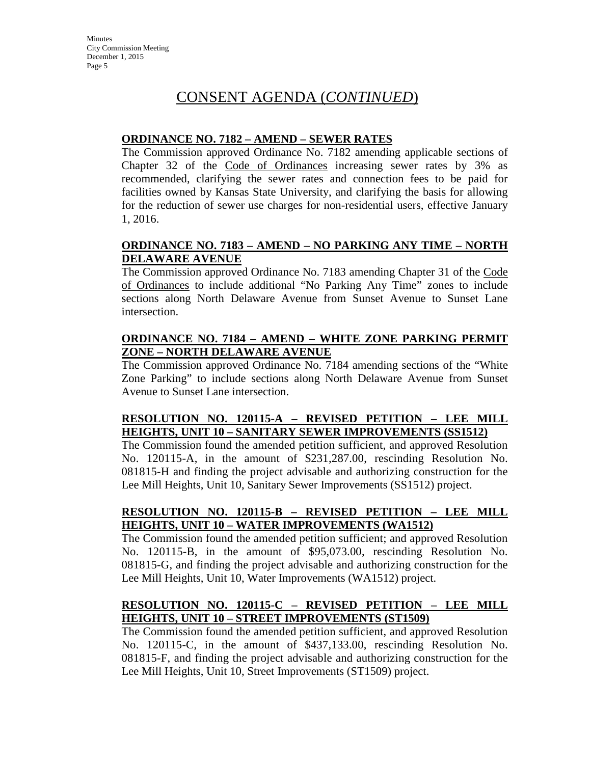#### **ORDINANCE NO. 7182 – AMEND – SEWER RATES**

The Commission approved Ordinance No. 7182 amending applicable sections of Chapter 32 of the Code of Ordinances increasing sewer rates by 3% as recommended, clarifying the sewer rates and connection fees to be paid for facilities owned by Kansas State University, and clarifying the basis for allowing for the reduction of sewer use charges for non-residential users, effective January 1, 2016.

#### **ORDINANCE NO. 7183 – AMEND – NO PARKING ANY TIME – NORTH DELAWARE AVENUE**

The Commission approved Ordinance No. 7183 amending Chapter 31 of the Code of Ordinances to include additional "No Parking Any Time" zones to include sections along North Delaware Avenue from Sunset Avenue to Sunset Lane intersection.

#### **ORDINANCE NO. 7184 – AMEND – WHITE ZONE PARKING PERMIT ZONE – NORTH DELAWARE AVENUE**

The Commission approved Ordinance No. 7184 amending sections of the "White Zone Parking" to include sections along North Delaware Avenue from Sunset Avenue to Sunset Lane intersection.

#### **RESOLUTION NO. 120115-A – REVISED PETITION – LEE MILL HEIGHTS, UNIT 10 – SANITARY SEWER IMPROVEMENTS (SS1512)**

The Commission found the amended petition sufficient, and approved Resolution No. 120115-A, in the amount of \$231,287.00, rescinding Resolution No. 081815-H and finding the project advisable and authorizing construction for the Lee Mill Heights, Unit 10, Sanitary Sewer Improvements (SS1512) project.

#### **RESOLUTION NO. 120115-B – REVISED PETITION – LEE MILL HEIGHTS, UNIT 10 – WATER IMPROVEMENTS (WA1512)**

The Commission found the amended petition sufficient; and approved Resolution No. 120115-B, in the amount of \$95,073.00, rescinding Resolution No. 081815-G, and finding the project advisable and authorizing construction for the Lee Mill Heights, Unit 10, Water Improvements (WA1512) project.

#### **RESOLUTION NO. 120115-C – REVISED PETITION – LEE MILL HEIGHTS, UNIT 10 – STREET IMPROVEMENTS (ST1509)**

The Commission found the amended petition sufficient, and approved Resolution No. 120115-C, in the amount of \$437,133.00, rescinding Resolution No. 081815-F, and finding the project advisable and authorizing construction for the Lee Mill Heights, Unit 10, Street Improvements (ST1509) project.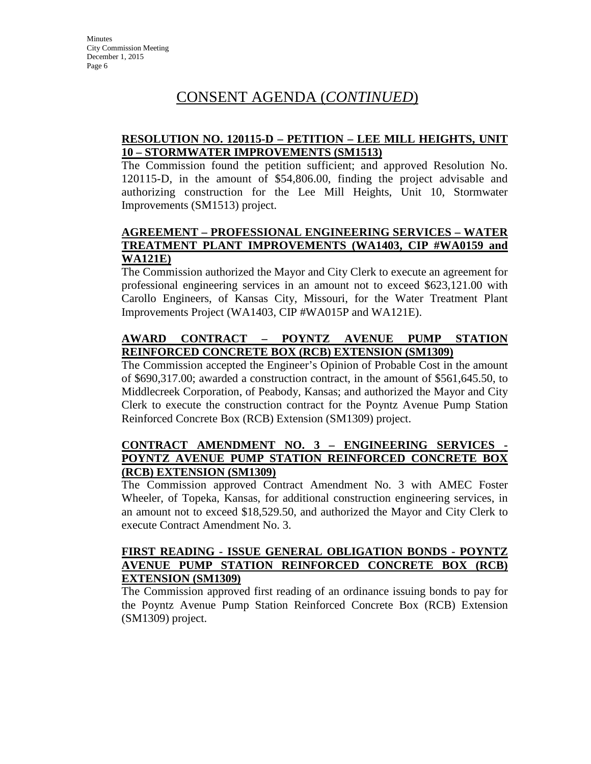#### **RESOLUTION NO. 120115-D – PETITION – LEE MILL HEIGHTS, UNIT 10 – STORMWATER IMPROVEMENTS (SM1513)**

The Commission found the petition sufficient; and approved Resolution No. 120115-D, in the amount of \$54,806.00, finding the project advisable and authorizing construction for the Lee Mill Heights, Unit 10, Stormwater Improvements (SM1513) project.

#### **AGREEMENT – PROFESSIONAL ENGINEERING SERVICES – WATER TREATMENT PLANT IMPROVEMENTS (WA1403, CIP #WA0159 and WA121E)**

The Commission authorized the Mayor and City Clerk to execute an agreement for professional engineering services in an amount not to exceed \$623,121.00 with Carollo Engineers, of Kansas City, Missouri, for the Water Treatment Plant Improvements Project (WA1403, CIP #WA015P and WA121E).

#### **AWARD CONTRACT – POYNTZ AVENUE PUMP STATION REINFORCED CONCRETE BOX (RCB) EXTENSION (SM1309)**

The Commission accepted the Engineer's Opinion of Probable Cost in the amount of \$690,317.00; awarded a construction contract, in the amount of \$561,645.50, to Middlecreek Corporation, of Peabody, Kansas; and authorized the Mayor and City Clerk to execute the construction contract for the Poyntz Avenue Pump Station Reinforced Concrete Box (RCB) Extension (SM1309) project.

#### **CONTRACT AMENDMENT NO. 3 – ENGINEERING SERVICES - POYNTZ AVENUE PUMP STATION REINFORCED CONCRETE BOX (RCB) EXTENSION (SM1309)**

The Commission approved Contract Amendment No. 3 with AMEC Foster Wheeler, of Topeka, Kansas, for additional construction engineering services, in an amount not to exceed \$18,529.50, and authorized the Mayor and City Clerk to execute Contract Amendment No. 3.

#### **FIRST READING - ISSUE GENERAL OBLIGATION BONDS - POYNTZ AVENUE PUMP STATION REINFORCED CONCRETE BOX (RCB) EXTENSION (SM1309)**

The Commission approved first reading of an ordinance issuing bonds to pay for the Poyntz Avenue Pump Station Reinforced Concrete Box (RCB) Extension (SM1309) project.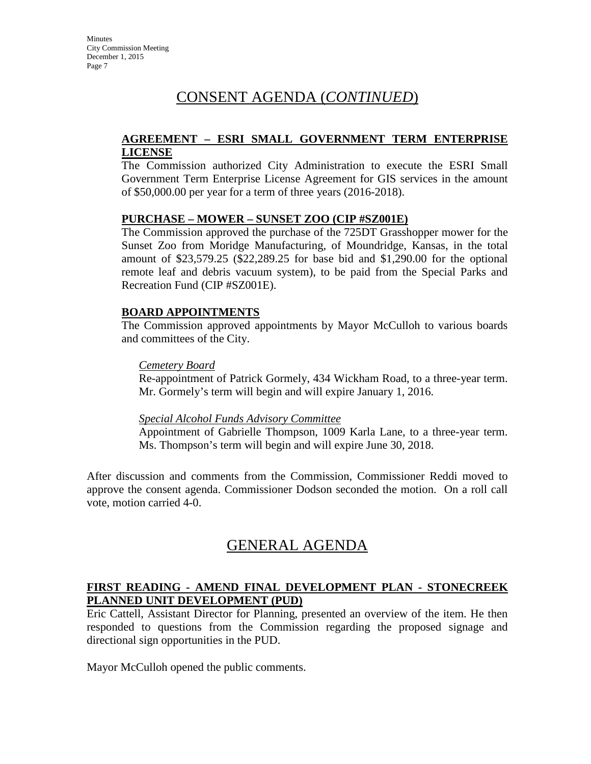#### **AGREEMENT – ESRI SMALL GOVERNMENT TERM ENTERPRISE LICENSE**

The Commission authorized City Administration to execute the ESRI Small Government Term Enterprise License Agreement for GIS services in the amount of \$50,000.00 per year for a term of three years (2016-2018).

#### **PURCHASE – MOWER – SUNSET ZOO (CIP #SZ001E)**

The Commission approved the purchase of the 725DT Grasshopper mower for the Sunset Zoo from Moridge Manufacturing, of Moundridge, Kansas, in the total amount of \$23,579.25 (\$22,289.25 for base bid and \$1,290.00 for the optional remote leaf and debris vacuum system), to be paid from the Special Parks and Recreation Fund (CIP #SZ001E).

#### **BOARD APPOINTMENTS**

The Commission approved appointments by Mayor McCulloh to various boards and committees of the City.

#### *Cemetery Board*

Re-appointment of Patrick Gormely, 434 Wickham Road, to a three-year term. Mr. Gormely's term will begin and will expire January 1, 2016.

#### *Special Alcohol Funds Advisory Committee*

Appointment of Gabrielle Thompson, 1009 Karla Lane, to a three-year term. Ms. Thompson's term will begin and will expire June 30, 2018.

After discussion and comments from the Commission, Commissioner Reddi moved to approve the consent agenda. Commissioner Dodson seconded the motion. On a roll call vote, motion carried 4-0.

# GENERAL AGENDA

#### **FIRST READING - AMEND FINAL DEVELOPMENT PLAN - STONECREEK PLANNED UNIT DEVELOPMENT (PUD)**

Eric Cattell, Assistant Director for Planning, presented an overview of the item. He then responded to questions from the Commission regarding the proposed signage and directional sign opportunities in the PUD.

Mayor McCulloh opened the public comments.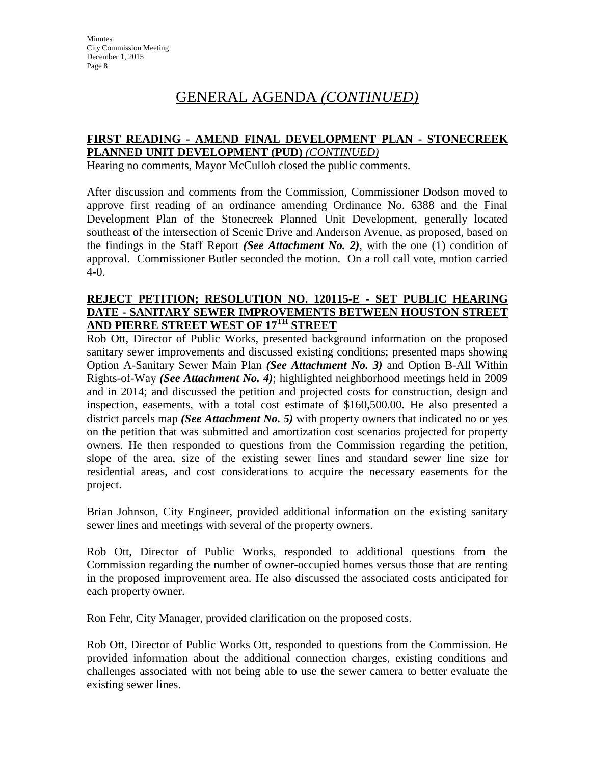# GENERAL AGENDA *(CONTINUED)*

#### **FIRST READING - AMEND FINAL DEVELOPMENT PLAN - STONECREEK PLANNED UNIT DEVELOPMENT (PUD)** *(CONTINUED)*

Hearing no comments, Mayor McCulloh closed the public comments.

After discussion and comments from the Commission, Commissioner Dodson moved to approve first reading of an ordinance amending Ordinance No. 6388 and the Final Development Plan of the Stonecreek Planned Unit Development, generally located southeast of the intersection of Scenic Drive and Anderson Avenue, as proposed, based on the findings in the Staff Report *(See Attachment No. 2)*, with the one (1) condition of approval. Commissioner Butler seconded the motion. On a roll call vote, motion carried 4-0.

#### **REJECT PETITION; RESOLUTION NO. 120115-E - SET PUBLIC HEARING DATE - SANITARY SEWER IMPROVEMENTS BETWEEN HOUSTON STREET AND PIERRE STREET WEST OF 17TH STREET**

Rob Ott, Director of Public Works, presented background information on the proposed sanitary sewer improvements and discussed existing conditions; presented maps showing Option A-Sanitary Sewer Main Plan *(See Attachment No. 3)* and Option B-All Within Rights-of-Way *(See Attachment No. 4)*; highlighted neighborhood meetings held in 2009 and in 2014; and discussed the petition and projected costs for construction, design and inspection, easements, with a total cost estimate of \$160,500.00. He also presented a district parcels map *(See Attachment No. 5)* with property owners that indicated no or yes on the petition that was submitted and amortization cost scenarios projected for property owners. He then responded to questions from the Commission regarding the petition, slope of the area, size of the existing sewer lines and standard sewer line size for residential areas, and cost considerations to acquire the necessary easements for the project.

Brian Johnson, City Engineer, provided additional information on the existing sanitary sewer lines and meetings with several of the property owners.

Rob Ott, Director of Public Works, responded to additional questions from the Commission regarding the number of owner-occupied homes versus those that are renting in the proposed improvement area. He also discussed the associated costs anticipated for each property owner.

Ron Fehr, City Manager, provided clarification on the proposed costs.

Rob Ott, Director of Public Works Ott, responded to questions from the Commission. He provided information about the additional connection charges, existing conditions and challenges associated with not being able to use the sewer camera to better evaluate the existing sewer lines.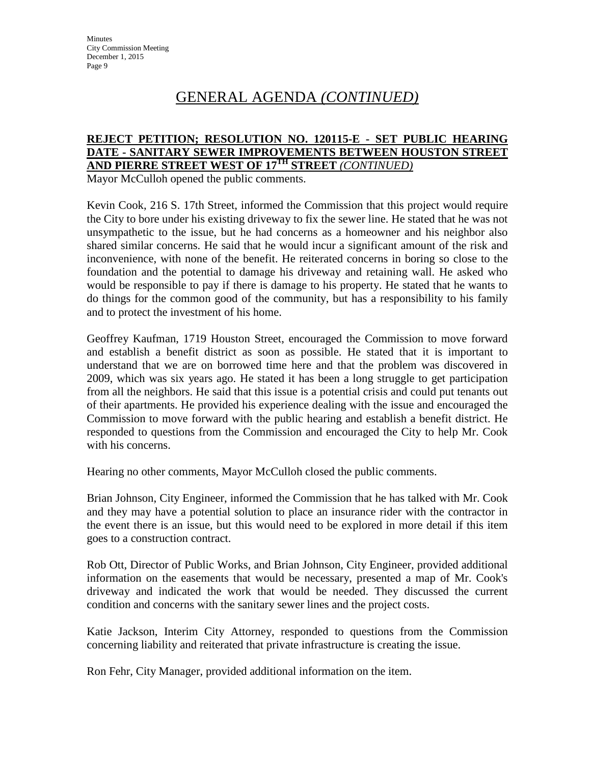# GENERAL AGENDA *(CONTINUED)*

#### **REJECT PETITION; RESOLUTION NO. 120115-E - SET PUBLIC HEARING DATE - SANITARY SEWER IMPROVEMENTS BETWEEN HOUSTON STREET AND PIERRE STREET WEST OF 17TH STREET** *(CONTINUED)*

Mayor McCulloh opened the public comments.

Kevin Cook, 216 S. 17th Street, informed the Commission that this project would require the City to bore under his existing driveway to fix the sewer line. He stated that he was not unsympathetic to the issue, but he had concerns as a homeowner and his neighbor also shared similar concerns. He said that he would incur a significant amount of the risk and inconvenience, with none of the benefit. He reiterated concerns in boring so close to the foundation and the potential to damage his driveway and retaining wall. He asked who would be responsible to pay if there is damage to his property. He stated that he wants to do things for the common good of the community, but has a responsibility to his family and to protect the investment of his home.

Geoffrey Kaufman, 1719 Houston Street, encouraged the Commission to move forward and establish a benefit district as soon as possible. He stated that it is important to understand that we are on borrowed time here and that the problem was discovered in 2009, which was six years ago. He stated it has been a long struggle to get participation from all the neighbors. He said that this issue is a potential crisis and could put tenants out of their apartments. He provided his experience dealing with the issue and encouraged the Commission to move forward with the public hearing and establish a benefit district. He responded to questions from the Commission and encouraged the City to help Mr. Cook with his concerns.

Hearing no other comments, Mayor McCulloh closed the public comments.

Brian Johnson, City Engineer, informed the Commission that he has talked with Mr. Cook and they may have a potential solution to place an insurance rider with the contractor in the event there is an issue, but this would need to be explored in more detail if this item goes to a construction contract.

Rob Ott, Director of Public Works, and Brian Johnson, City Engineer, provided additional information on the easements that would be necessary, presented a map of Mr. Cook's driveway and indicated the work that would be needed. They discussed the current condition and concerns with the sanitary sewer lines and the project costs.

Katie Jackson, Interim City Attorney, responded to questions from the Commission concerning liability and reiterated that private infrastructure is creating the issue.

Ron Fehr, City Manager, provided additional information on the item.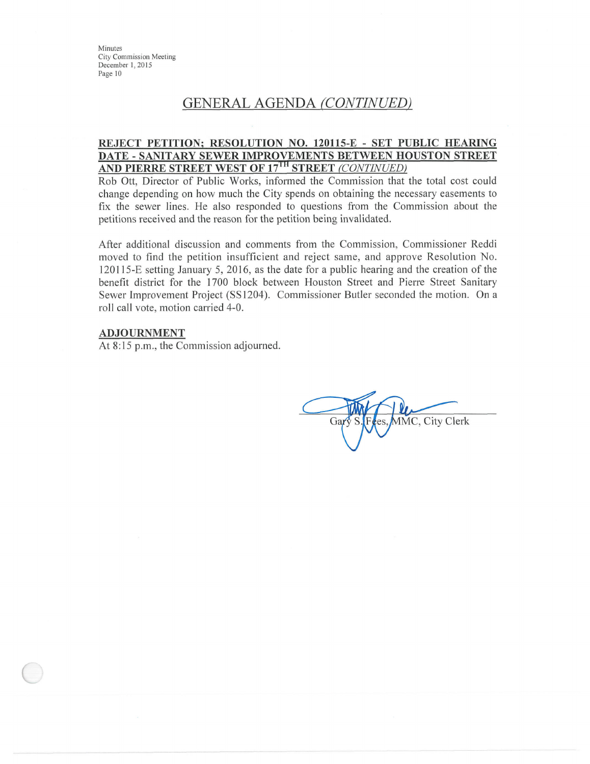## **GENERAL AGENDA (CONTINUED)**

#### REJECT PETITION; RESOLUTION NO. 120115-E - SET PUBLIC HEARING DATE - SANITARY SEWER IMPROVEMENTS BETWEEN HOUSTON STREET AND PIERRE STREET WEST OF 17<sup>TH</sup> STREET (CONTINUED)

Rob Ott, Director of Public Works, informed the Commission that the total cost could change depending on how much the City spends on obtaining the necessary easements to fix the sewer lines. He also responded to questions from the Commission about the petitions received and the reason for the petition being invalidated.

After additional discussion and comments from the Commission, Commissioner Reddi moved to find the petition insufficient and reject same, and approve Resolution No. 120115-E setting January 5, 2016, as the date for a public hearing and the creation of the benefit district for the 1700 block between Houston Street and Pierre Street Sanitary Sewer Improvement Project (SS1204). Commissioner Butler seconded the motion. On a roll call vote, motion carried 4-0.

#### **ADJOURNMENT**

At 8:15 p.m., the Commission adjourned.

MMC, City Clerk Gar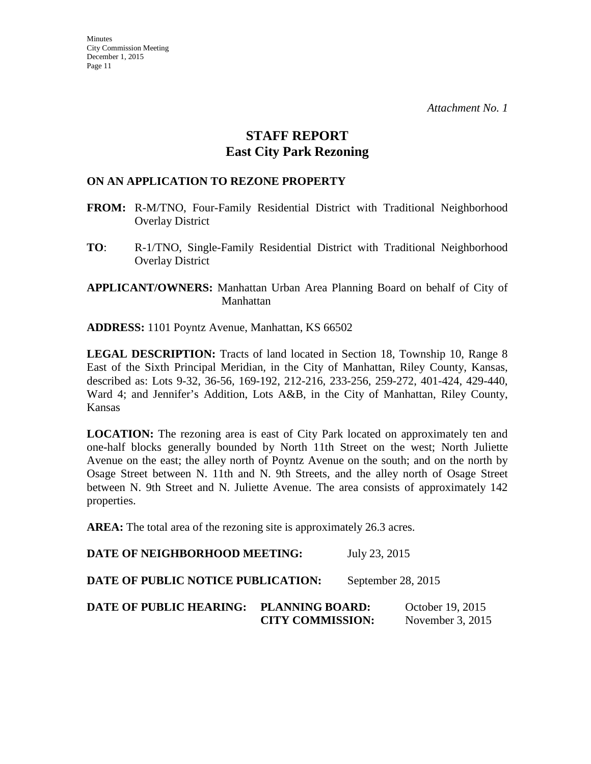## **STAFF REPORT East City Park Rezoning**

#### **ON AN APPLICATION TO REZONE PROPERTY**

- **FROM:** R-M/TNO, Four-Family Residential District with Traditional Neighborhood Overlay District
- **TO**: R-1/TNO, Single-Family Residential District with Traditional Neighborhood Overlay District

**APPLICANT/OWNERS:** Manhattan Urban Area Planning Board on behalf of City of Manhattan

**ADDRESS:** 1101 Poyntz Avenue, Manhattan, KS 66502

**LEGAL DESCRIPTION:** Tracts of land located in Section 18, Township 10, Range 8 East of the Sixth Principal Meridian, in the City of Manhattan, Riley County, Kansas, described as: Lots 9-32, 36-56, 169-192, 212-216, 233-256, 259-272, 401-424, 429-440, Ward 4; and Jennifer's Addition, Lots A&B, in the City of Manhattan, Riley County, Kansas

**LOCATION:** The rezoning area is east of City Park located on approximately ten and one-half blocks generally bounded by North 11th Street on the west; North Juliette Avenue on the east; the alley north of Poyntz Avenue on the south; and on the north by Osage Street between N. 11th and N. 9th Streets, and the alley north of Osage Street between N. 9th Street and N. Juliette Avenue. The area consists of approximately 142 properties.

AREA: The total area of the rezoning site is approximately 26.3 acres.

**DATE OF NEIGHBORHOOD MEETING:** July 23, 2015 **DATE OF PUBLIC NOTICE PUBLICATION:** September 28, 2015 **DATE OF PUBLIC HEARING: PLANNING BOARD:** October 19, 2015 **CITY COMMISSION:** November 3, 2015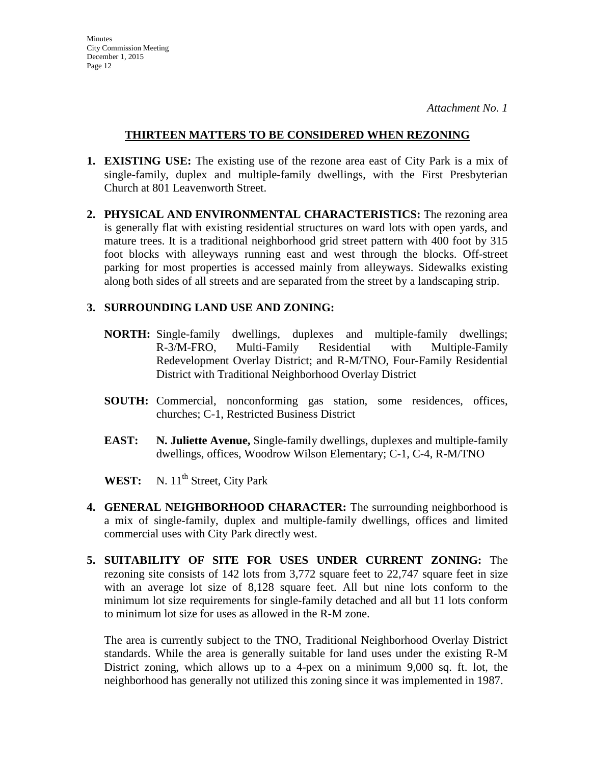#### **THIRTEEN MATTERS TO BE CONSIDERED WHEN REZONING**

- **1. EXISTING USE:** The existing use of the rezone area east of City Park is a mix of single-family, duplex and multiple-family dwellings, with the First Presbyterian Church at 801 Leavenworth Street.
- **2. PHYSICAL AND ENVIRONMENTAL CHARACTERISTICS:** The rezoning area is generally flat with existing residential structures on ward lots with open yards, and mature trees. It is a traditional neighborhood grid street pattern with 400 foot by 315 foot blocks with alleyways running east and west through the blocks. Off-street parking for most properties is accessed mainly from alleyways. Sidewalks existing along both sides of all streets and are separated from the street by a landscaping strip.

#### **3. SURROUNDING LAND USE AND ZONING:**

- **NORTH:** Single-family dwellings, duplexes and multiple-family dwellings; R-3/M-FRO, Multi-Family Residential with Multiple-Family Redevelopment Overlay District; and R-M/TNO, Four-Family Residential District with Traditional Neighborhood Overlay District
- **SOUTH:** Commercial, nonconforming gas station, some residences, offices, churches; C-1, Restricted Business District
- **EAST: N. Juliette Avenue,** Single-family dwellings, duplexes and multiple-family dwellings, offices, Woodrow Wilson Elementary; C-1, C-4, R-M/TNO

WEST: N. 11<sup>th</sup> Street, City Park

- **4. GENERAL NEIGHBORHOOD CHARACTER:** The surrounding neighborhood is a mix of single-family, duplex and multiple-family dwellings, offices and limited commercial uses with City Park directly west.
- **5. SUITABILITY OF SITE FOR USES UNDER CURRENT ZONING:** The rezoning site consists of 142 lots from 3,772 square feet to 22,747 square feet in size with an average lot size of 8,128 square feet. All but nine lots conform to the minimum lot size requirements for single-family detached and all but 11 lots conform to minimum lot size for uses as allowed in the R-M zone.

The area is currently subject to the TNO, Traditional Neighborhood Overlay District standards. While the area is generally suitable for land uses under the existing R-M District zoning, which allows up to a 4-pex on a minimum 9,000 sq. ft. lot, the neighborhood has generally not utilized this zoning since it was implemented in 1987.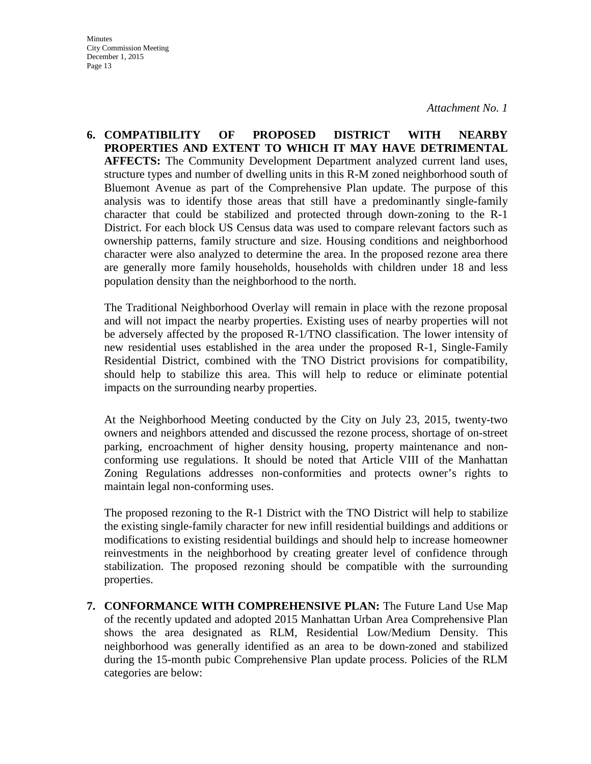*Attachment No. 1* 

**6. COMPATIBILITY OF PROPOSED DISTRICT WITH NEARBY PROPERTIES AND EXTENT TO WHICH IT MAY HAVE DETRIMENTAL AFFECTS:** The Community Development Department analyzed current land uses, structure types and number of dwelling units in this R-M zoned neighborhood south of Bluemont Avenue as part of the Comprehensive Plan update. The purpose of this analysis was to identify those areas that still have a predominantly single-family character that could be stabilized and protected through down-zoning to the R-1 District. For each block US Census data was used to compare relevant factors such as ownership patterns, family structure and size. Housing conditions and neighborhood character were also analyzed to determine the area. In the proposed rezone area there are generally more family households, households with children under 18 and less population density than the neighborhood to the north.

The Traditional Neighborhood Overlay will remain in place with the rezone proposal and will not impact the nearby properties. Existing uses of nearby properties will not be adversely affected by the proposed R-1/TNO classification. The lower intensity of new residential uses established in the area under the proposed R-1, Single-Family Residential District, combined with the TNO District provisions for compatibility, should help to stabilize this area. This will help to reduce or eliminate potential impacts on the surrounding nearby properties.

At the Neighborhood Meeting conducted by the City on July 23, 2015, twenty-two owners and neighbors attended and discussed the rezone process, shortage of on-street parking, encroachment of higher density housing, property maintenance and nonconforming use regulations. It should be noted that Article VIII of the Manhattan Zoning Regulations addresses non-conformities and protects owner's rights to maintain legal non-conforming uses.

The proposed rezoning to the R-1 District with the TNO District will help to stabilize the existing single-family character for new infill residential buildings and additions or modifications to existing residential buildings and should help to increase homeowner reinvestments in the neighborhood by creating greater level of confidence through stabilization. The proposed rezoning should be compatible with the surrounding properties.

**7. CONFORMANCE WITH COMPREHENSIVE PLAN:** The Future Land Use Map of the recently updated and adopted 2015 Manhattan Urban Area Comprehensive Plan shows the area designated as RLM, Residential Low/Medium Density. This neighborhood was generally identified as an area to be down-zoned and stabilized during the 15-month pubic Comprehensive Plan update process. Policies of the RLM categories are below: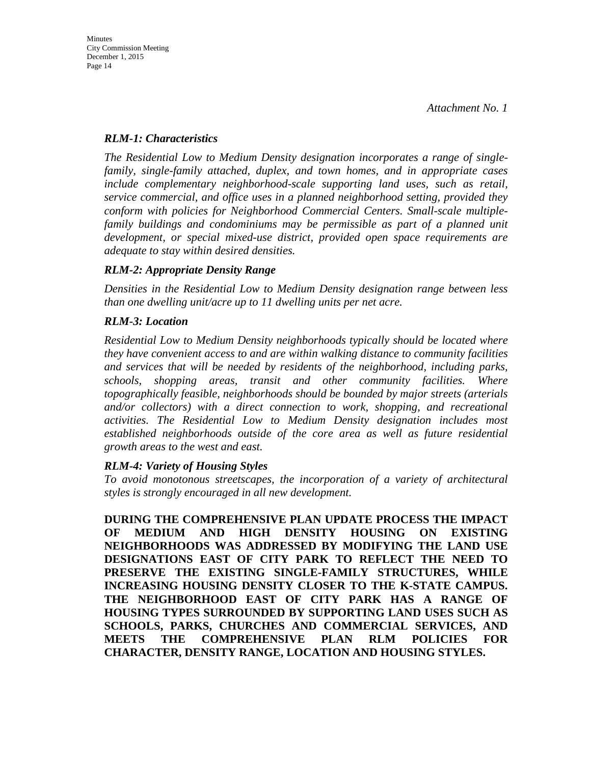#### *RLM-1: Characteristics*

*The Residential Low to Medium Density designation incorporates a range of singlefamily, single-family attached, duplex, and town homes, and in appropriate cases include complementary neighborhood-scale supporting land uses, such as retail, service commercial, and office uses in a planned neighborhood setting, provided they conform with policies for Neighborhood Commercial Centers. Small-scale multiplefamily buildings and condominiums may be permissible as part of a planned unit development, or special mixed-use district, provided open space requirements are adequate to stay within desired densities.* 

#### *RLM-2: Appropriate Density Range*

*Densities in the Residential Low to Medium Density designation range between less than one dwelling unit/acre up to 11 dwelling units per net acre.* 

#### *RLM-3: Location*

*Residential Low to Medium Density neighborhoods typically should be located where they have convenient access to and are within walking distance to community facilities and services that will be needed by residents of the neighborhood, including parks, schools, shopping areas, transit and other community facilities. Where topographically feasible, neighborhoods should be bounded by major streets (arterials and/or collectors) with a direct connection to work, shopping, and recreational activities. The Residential Low to Medium Density designation includes most established neighborhoods outside of the core area as well as future residential growth areas to the west and east.* 

#### *RLM-4: Variety of Housing Styles*

*To avoid monotonous streetscapes, the incorporation of a variety of architectural styles is strongly encouraged in all new development.* 

**DURING THE COMPREHENSIVE PLAN UPDATE PROCESS THE IMPACT OF MEDIUM AND HIGH DENSITY HOUSING ON EXISTING NEIGHBORHOODS WAS ADDRESSED BY MODIFYING THE LAND USE DESIGNATIONS EAST OF CITY PARK TO REFLECT THE NEED TO PRESERVE THE EXISTING SINGLE-FAMILY STRUCTURES, WHILE INCREASING HOUSING DENSITY CLOSER TO THE K-STATE CAMPUS. THE NEIGHBORHOOD EAST OF CITY PARK HAS A RANGE OF HOUSING TYPES SURROUNDED BY SUPPORTING LAND USES SUCH AS SCHOOLS, PARKS, CHURCHES AND COMMERCIAL SERVICES, AND MEETS THE COMPREHENSIVE PLAN RLM POLICIES FOR CHARACTER, DENSITY RANGE, LOCATION AND HOUSING STYLES.**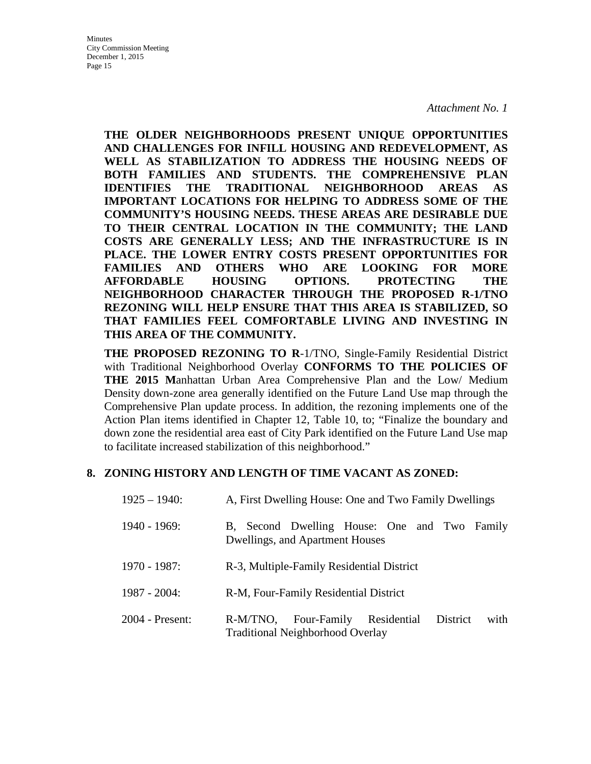**THE OLDER NEIGHBORHOODS PRESENT UNIQUE OPPORTUNITIES AND CHALLENGES FOR INFILL HOUSING AND REDEVELOPMENT, AS WELL AS STABILIZATION TO ADDRESS THE HOUSING NEEDS OF BOTH FAMILIES AND STUDENTS. THE COMPREHENSIVE PLAN IDENTIFIES THE TRADITIONAL NEIGHBORHOOD AREAS AS IMPORTANT LOCATIONS FOR HELPING TO ADDRESS SOME OF THE COMMUNITY'S HOUSING NEEDS. THESE AREAS ARE DESIRABLE DUE TO THEIR CENTRAL LOCATION IN THE COMMUNITY; THE LAND COSTS ARE GENERALLY LESS; AND THE INFRASTRUCTURE IS IN PLACE. THE LOWER ENTRY COSTS PRESENT OPPORTUNITIES FOR FAMILIES AND OTHERS WHO ARE LOOKING FOR MORE AFFORDABLE HOUSING OPTIONS. PROTECTING THE NEIGHBORHOOD CHARACTER THROUGH THE PROPOSED R-1/TNO REZONING WILL HELP ENSURE THAT THIS AREA IS STABILIZED, SO THAT FAMILIES FEEL COMFORTABLE LIVING AND INVESTING IN THIS AREA OF THE COMMUNITY.** 

**THE PROPOSED REZONING TO R**-1/TNO, Single-Family Residential District with Traditional Neighborhood Overlay **CONFORMS TO THE POLICIES OF THE 2015 M**anhattan Urban Area Comprehensive Plan and the Low/ Medium Density down-zone area generally identified on the Future Land Use map through the Comprehensive Plan update process. In addition, the rezoning implements one of the Action Plan items identified in Chapter 12, Table 10, to; "Finalize the boundary and down zone the residential area east of City Park identified on the Future Land Use map to facilitate increased stabilization of this neighborhood."

#### **8. ZONING HISTORY AND LENGTH OF TIME VACANT AS ZONED:**

| $1925 - 1940$ : | A, First Dwelling House: One and Two Family Dwellings                                              |  |
|-----------------|----------------------------------------------------------------------------------------------------|--|
| $1940 - 1969$ : | B, Second Dwelling House: One and Two Family<br>Dwellings, and Apartment Houses                    |  |
| 1970 - 1987:    | R-3, Multiple-Family Residential District                                                          |  |
| $1987 - 2004$ : | R-M, Four-Family Residential District                                                              |  |
| 2004 - Present: | Residential<br>R-M/TNO, Four-Family<br>District<br>with<br><b>Traditional Neighborhood Overlay</b> |  |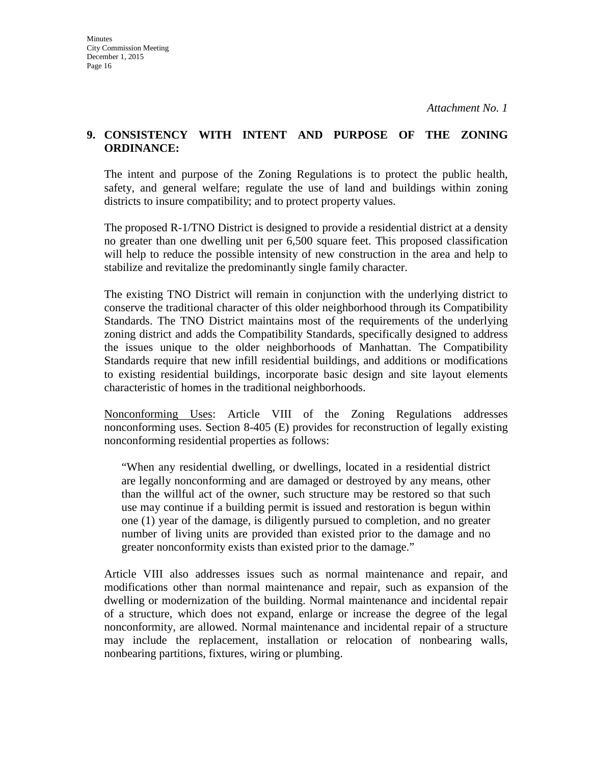#### **9. CONSISTENCY WITH INTENT AND PURPOSE OF THE ZONING ORDINANCE:**

The intent and purpose of the Zoning Regulations is to protect the public health, safety, and general welfare; regulate the use of land and buildings within zoning districts to insure compatibility; and to protect property values.

The proposed R-1/TNO District is designed to provide a residential district at a density no greater than one dwelling unit per 6,500 square feet. This proposed classification will help to reduce the possible intensity of new construction in the area and help to stabilize and revitalize the predominantly single family character.

The existing TNO District will remain in conjunction with the underlying district to conserve the traditional character of this older neighborhood through its Compatibility Standards. The TNO District maintains most of the requirements of the underlying zoning district and adds the Compatibility Standards, specifically designed to address the issues unique to the older neighborhoods of Manhattan. The Compatibility Standards require that new infill residential buildings, and additions or modifications to existing residential buildings, incorporate basic design and site layout elements characteristic of homes in the traditional neighborhoods.

Nonconforming Uses: Article VIII of the Zoning Regulations addresses nonconforming uses. Section 8-405 (E) provides for reconstruction of legally existing nonconforming residential properties as follows:

"When any residential dwelling, or dwellings, located in a residential district are legally nonconforming and are damaged or destroyed by any means, other than the willful act of the owner, such structure may be restored so that such use may continue if a building permit is issued and restoration is begun within one (1) year of the damage, is diligently pursued to completion, and no greater number of living units are provided than existed prior to the damage and no greater nonconformity exists than existed prior to the damage."

Article VIII also addresses issues such as normal maintenance and repair, and modifications other than normal maintenance and repair, such as expansion of the dwelling or modernization of the building. Normal maintenance and incidental repair of a structure, which does not expand, enlarge or increase the degree of the legal nonconformity, are allowed. Normal maintenance and incidental repair of a structure may include the replacement, installation or relocation of nonbearing walls, nonbearing partitions, fixtures, wiring or plumbing.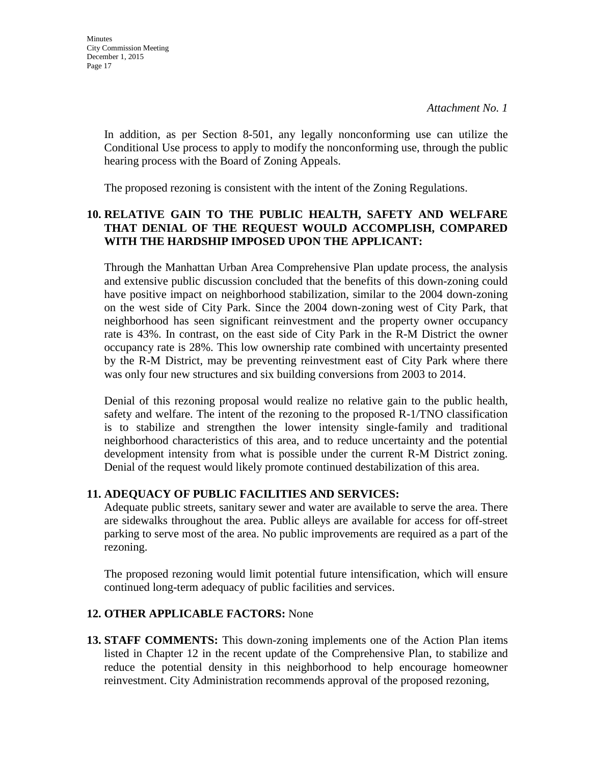In addition, as per Section 8-501, any legally nonconforming use can utilize the Conditional Use process to apply to modify the nonconforming use, through the public hearing process with the Board of Zoning Appeals.

The proposed rezoning is consistent with the intent of the Zoning Regulations.

#### **10. RELATIVE GAIN TO THE PUBLIC HEALTH, SAFETY AND WELFARE THAT DENIAL OF THE REQUEST WOULD ACCOMPLISH, COMPARED WITH THE HARDSHIP IMPOSED UPON THE APPLICANT:**

Through the Manhattan Urban Area Comprehensive Plan update process, the analysis and extensive public discussion concluded that the benefits of this down-zoning could have positive impact on neighborhood stabilization, similar to the 2004 down-zoning on the west side of City Park. Since the 2004 down-zoning west of City Park, that neighborhood has seen significant reinvestment and the property owner occupancy rate is 43%. In contrast, on the east side of City Park in the R-M District the owner occupancy rate is 28%. This low ownership rate combined with uncertainty presented by the R-M District, may be preventing reinvestment east of City Park where there was only four new structures and six building conversions from 2003 to 2014.

Denial of this rezoning proposal would realize no relative gain to the public health, safety and welfare. The intent of the rezoning to the proposed R-1/TNO classification is to stabilize and strengthen the lower intensity single-family and traditional neighborhood characteristics of this area, and to reduce uncertainty and the potential development intensity from what is possible under the current R-M District zoning. Denial of the request would likely promote continued destabilization of this area.

#### **11. ADEQUACY OF PUBLIC FACILITIES AND SERVICES:**

Adequate public streets, sanitary sewer and water are available to serve the area. There are sidewalks throughout the area. Public alleys are available for access for off-street parking to serve most of the area. No public improvements are required as a part of the rezoning.

The proposed rezoning would limit potential future intensification, which will ensure continued long-term adequacy of public facilities and services.

#### **12. OTHER APPLICABLE FACTORS:** None

**13. STAFF COMMENTS:** This down-zoning implements one of the Action Plan items listed in Chapter 12 in the recent update of the Comprehensive Plan, to stabilize and reduce the potential density in this neighborhood to help encourage homeowner reinvestment. City Administration recommends approval of the proposed rezoning,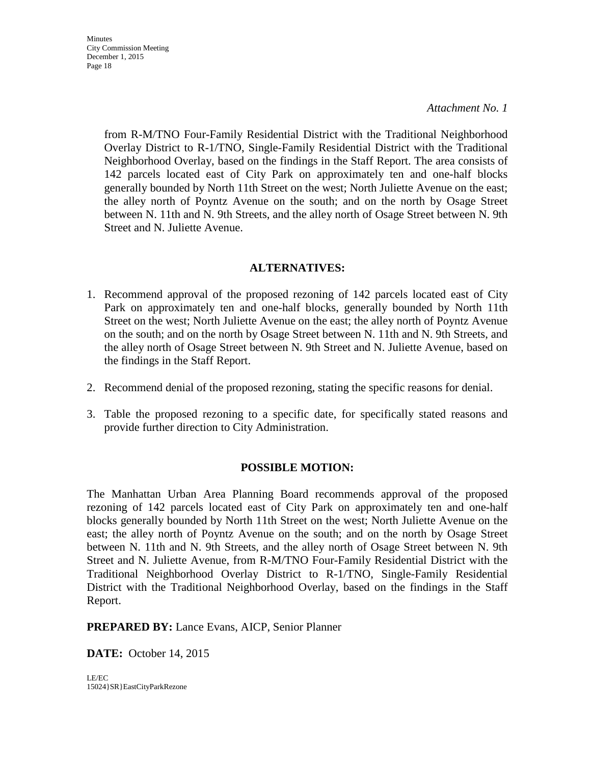*Attachment No. 1* 

from R-M/TNO Four-Family Residential District with the Traditional Neighborhood Overlay District to R-1/TNO, Single-Family Residential District with the Traditional Neighborhood Overlay, based on the findings in the Staff Report. The area consists of 142 parcels located east of City Park on approximately ten and one-half blocks generally bounded by North 11th Street on the west; North Juliette Avenue on the east; the alley north of Poyntz Avenue on the south; and on the north by Osage Street between N. 11th and N. 9th Streets, and the alley north of Osage Street between N. 9th Street and N. Juliette Avenue.

#### **ALTERNATIVES:**

- 1. Recommend approval of the proposed rezoning of 142 parcels located east of City Park on approximately ten and one-half blocks, generally bounded by North 11th Street on the west; North Juliette Avenue on the east; the alley north of Poyntz Avenue on the south; and on the north by Osage Street between N. 11th and N. 9th Streets, and the alley north of Osage Street between N. 9th Street and N. Juliette Avenue, based on the findings in the Staff Report.
- 2. Recommend denial of the proposed rezoning, stating the specific reasons for denial.
- 3. Table the proposed rezoning to a specific date, for specifically stated reasons and provide further direction to City Administration.

### **POSSIBLE MOTION:**

The Manhattan Urban Area Planning Board recommends approval of the proposed rezoning of 142 parcels located east of City Park on approximately ten and one-half blocks generally bounded by North 11th Street on the west; North Juliette Avenue on the east; the alley north of Poyntz Avenue on the south; and on the north by Osage Street between N. 11th and N. 9th Streets, and the alley north of Osage Street between N. 9th Street and N. Juliette Avenue, from R-M/TNO Four-Family Residential District with the Traditional Neighborhood Overlay District to R-1/TNO, Single-Family Residential District with the Traditional Neighborhood Overlay, based on the findings in the Staff Report.

**PREPARED BY:** Lance Evans, AICP, Senior Planner

**DATE:** October 14, 2015

LE/EC 15024}SR}EastCityParkRezone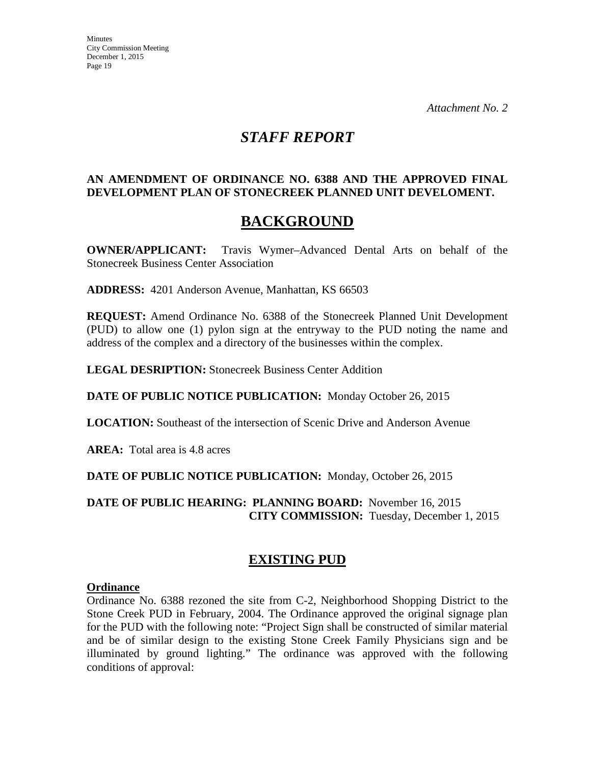## *STAFF REPORT*

#### **AN AMENDMENT OF ORDINANCE NO. 6388 AND THE APPROVED FINAL DEVELOPMENT PLAN OF STONECREEK PLANNED UNIT DEVELOMENT.**

# **BACKGROUND**

**OWNER/APPLICANT:** Travis Wymer–Advanced Dental Arts on behalf of the Stonecreek Business Center Association

**ADDRESS:** 4201 Anderson Avenue, Manhattan, KS 66503

**REQUEST:** Amend Ordinance No. 6388 of the Stonecreek Planned Unit Development (PUD) to allow one (1) pylon sign at the entryway to the PUD noting the name and address of the complex and a directory of the businesses within the complex.

**LEGAL DESRIPTION:** Stonecreek Business Center Addition

**DATE OF PUBLIC NOTICE PUBLICATION:** Monday October 26, 2015

**LOCATION:** Southeast of the intersection of Scenic Drive and Anderson Avenue

**AREA:** Total area is 4.8 acres

**DATE OF PUBLIC NOTICE PUBLICATION:** Monday, October 26, 2015

**DATE OF PUBLIC HEARING: PLANNING BOARD:** November 16, 2015 **CITY COMMISSION:** Tuesday, December 1, 2015

### **EXISTING PUD**

#### **Ordinance**

Ordinance No. 6388 rezoned the site from C-2, Neighborhood Shopping District to the Stone Creek PUD in February, 2004. The Ordinance approved the original signage plan for the PUD with the following note: "Project Sign shall be constructed of similar material and be of similar design to the existing Stone Creek Family Physicians sign and be illuminated by ground lighting." The ordinance was approved with the following conditions of approval: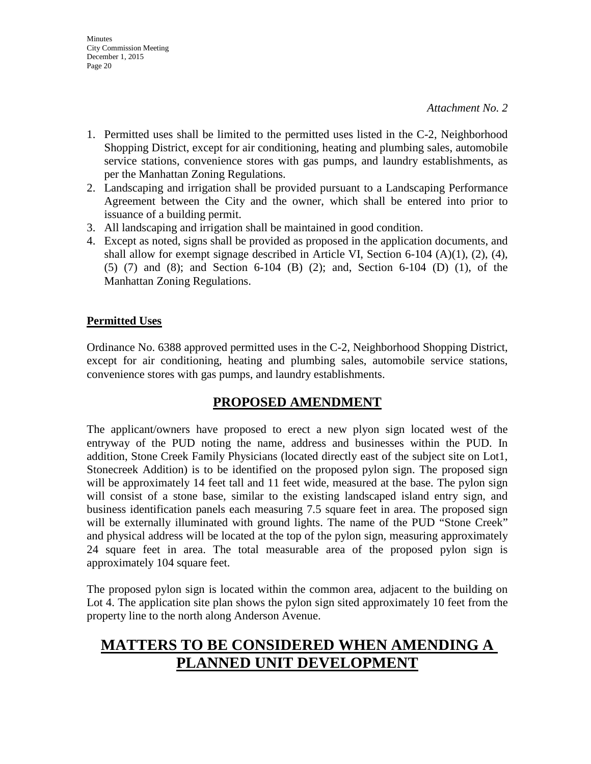- 1. Permitted uses shall be limited to the permitted uses listed in the C-2, Neighborhood Shopping District, except for air conditioning, heating and plumbing sales, automobile service stations, convenience stores with gas pumps, and laundry establishments, as per the Manhattan Zoning Regulations.
- 2. Landscaping and irrigation shall be provided pursuant to a Landscaping Performance Agreement between the City and the owner, which shall be entered into prior to issuance of a building permit.
- 3. All landscaping and irrigation shall be maintained in good condition.
- 4. Except as noted, signs shall be provided as proposed in the application documents, and shall allow for exempt signage described in Article VI, Section 6-104 (A)(1), (2), (4), (5) (7) and (8); and Section 6-104 (B) (2); and, Section 6-104 (D) (1), of the Manhattan Zoning Regulations.

#### **Permitted Uses**

Ordinance No. 6388 approved permitted uses in the C-2, Neighborhood Shopping District, except for air conditioning, heating and plumbing sales, automobile service stations, convenience stores with gas pumps, and laundry establishments.

### **PROPOSED AMENDMENT**

The applicant/owners have proposed to erect a new plyon sign located west of the entryway of the PUD noting the name, address and businesses within the PUD. In addition, Stone Creek Family Physicians (located directly east of the subject site on Lot1, Stonecreek Addition) is to be identified on the proposed pylon sign. The proposed sign will be approximately 14 feet tall and 11 feet wide, measured at the base. The pylon sign will consist of a stone base, similar to the existing landscaped island entry sign, and business identification panels each measuring 7.5 square feet in area. The proposed sign will be externally illuminated with ground lights. The name of the PUD "Stone Creek" and physical address will be located at the top of the pylon sign, measuring approximately 24 square feet in area. The total measurable area of the proposed pylon sign is approximately 104 square feet.

The proposed pylon sign is located within the common area, adjacent to the building on Lot 4. The application site plan shows the pylon sign sited approximately 10 feet from the property line to the north along Anderson Avenue.

# **MATTERS TO BE CONSIDERED WHEN AMENDING A PLANNED UNIT DEVELOPMENT**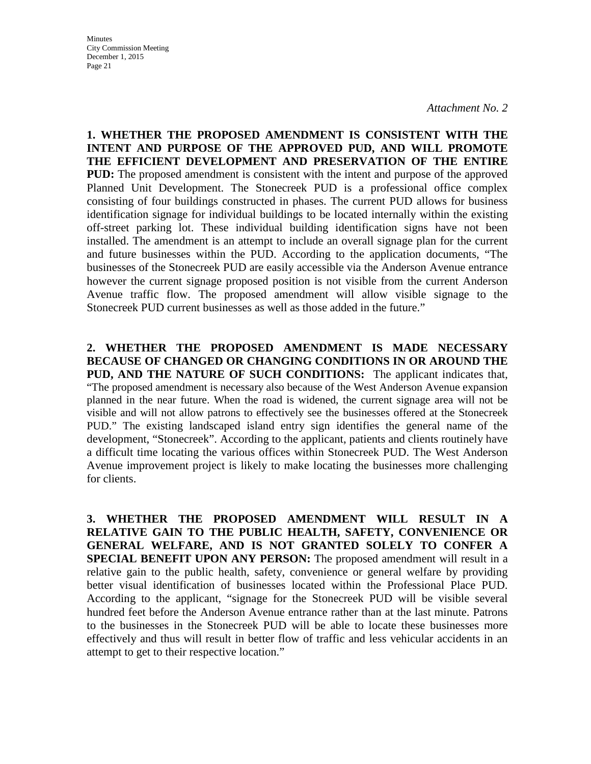**1. WHETHER THE PROPOSED AMENDMENT IS CONSISTENT WITH THE INTENT AND PURPOSE OF THE APPROVED PUD, AND WILL PROMOTE THE EFFICIENT DEVELOPMENT AND PRESERVATION OF THE ENTIRE PUD:** The proposed amendment is consistent with the intent and purpose of the approved Planned Unit Development. The Stonecreek PUD is a professional office complex consisting of four buildings constructed in phases. The current PUD allows for business identification signage for individual buildings to be located internally within the existing off-street parking lot. These individual building identification signs have not been installed. The amendment is an attempt to include an overall signage plan for the current and future businesses within the PUD. According to the application documents, "The businesses of the Stonecreek PUD are easily accessible via the Anderson Avenue entrance however the current signage proposed position is not visible from the current Anderson Avenue traffic flow. The proposed amendment will allow visible signage to the Stonecreek PUD current businesses as well as those added in the future."

**2. WHETHER THE PROPOSED AMENDMENT IS MADE NECESSARY BECAUSE OF CHANGED OR CHANGING CONDITIONS IN OR AROUND THE PUD, AND THE NATURE OF SUCH CONDITIONS:** The applicant indicates that, "The proposed amendment is necessary also because of the West Anderson Avenue expansion planned in the near future. When the road is widened, the current signage area will not be visible and will not allow patrons to effectively see the businesses offered at the Stonecreek PUD." The existing landscaped island entry sign identifies the general name of the development, "Stonecreek". According to the applicant, patients and clients routinely have a difficult time locating the various offices within Stonecreek PUD. The West Anderson Avenue improvement project is likely to make locating the businesses more challenging for clients.

**3. WHETHER THE PROPOSED AMENDMENT WILL RESULT IN A RELATIVE GAIN TO THE PUBLIC HEALTH, SAFETY, CONVENIENCE OR GENERAL WELFARE, AND IS NOT GRANTED SOLELY TO CONFER A SPECIAL BENEFIT UPON ANY PERSON:** The proposed amendment will result in a relative gain to the public health, safety, convenience or general welfare by providing better visual identification of businesses located within the Professional Place PUD. According to the applicant, "signage for the Stonecreek PUD will be visible several hundred feet before the Anderson Avenue entrance rather than at the last minute. Patrons to the businesses in the Stonecreek PUD will be able to locate these businesses more effectively and thus will result in better flow of traffic and less vehicular accidents in an attempt to get to their respective location."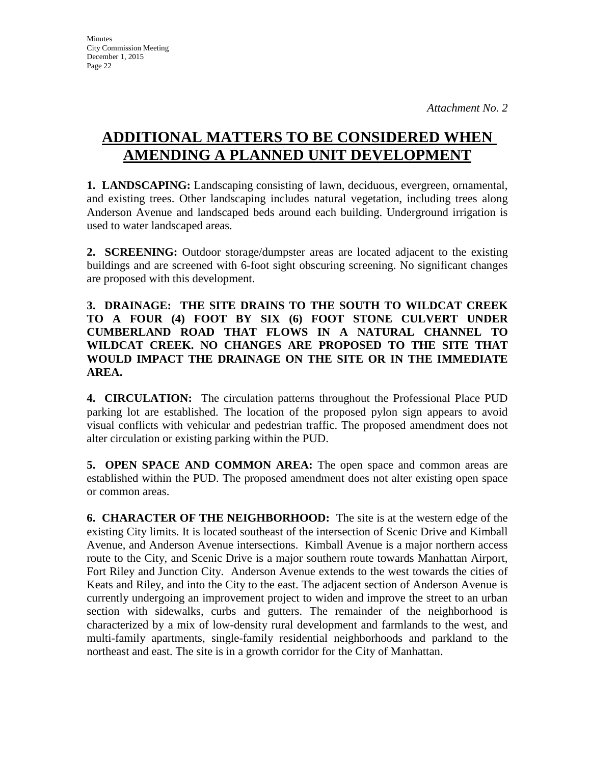# **ADDITIONAL MATTERS TO BE CONSIDERED WHEN AMENDING A PLANNED UNIT DEVELOPMENT**

**1. LANDSCAPING:** Landscaping consisting of lawn, deciduous, evergreen, ornamental, and existing trees. Other landscaping includes natural vegetation, including trees along Anderson Avenue and landscaped beds around each building. Underground irrigation is used to water landscaped areas.

**2. SCREENING:** Outdoor storage/dumpster areas are located adjacent to the existing buildings and are screened with 6-foot sight obscuring screening. No significant changes are proposed with this development.

**3. DRAINAGE: THE SITE DRAINS TO THE SOUTH TO WILDCAT CREEK TO A FOUR (4) FOOT BY SIX (6) FOOT STONE CULVERT UNDER CUMBERLAND ROAD THAT FLOWS IN A NATURAL CHANNEL TO WILDCAT CREEK. NO CHANGES ARE PROPOSED TO THE SITE THAT WOULD IMPACT THE DRAINAGE ON THE SITE OR IN THE IMMEDIATE AREA.** 

**4. CIRCULATION:** The circulation patterns throughout the Professional Place PUD parking lot are established. The location of the proposed pylon sign appears to avoid visual conflicts with vehicular and pedestrian traffic. The proposed amendment does not alter circulation or existing parking within the PUD.

**5. OPEN SPACE AND COMMON AREA:** The open space and common areas are established within the PUD. The proposed amendment does not alter existing open space or common areas.

**6. CHARACTER OF THE NEIGHBORHOOD:** The site is at the western edge of the existing City limits. It is located southeast of the intersection of Scenic Drive and Kimball Avenue, and Anderson Avenue intersections. Kimball Avenue is a major northern access route to the City, and Scenic Drive is a major southern route towards Manhattan Airport, Fort Riley and Junction City. Anderson Avenue extends to the west towards the cities of Keats and Riley, and into the City to the east. The adjacent section of Anderson Avenue is currently undergoing an improvement project to widen and improve the street to an urban section with sidewalks, curbs and gutters. The remainder of the neighborhood is characterized by a mix of low-density rural development and farmlands to the west, and multi-family apartments, single-family residential neighborhoods and parkland to the northeast and east. The site is in a growth corridor for the City of Manhattan.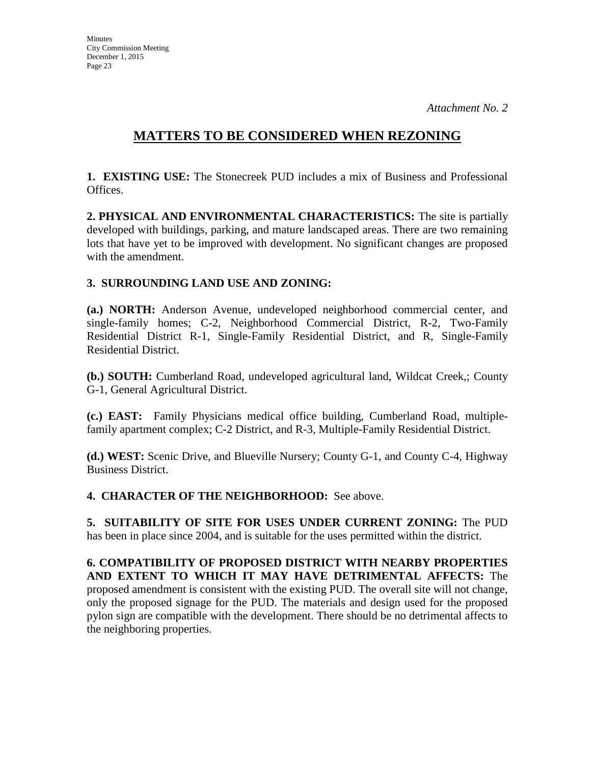### **MATTERS TO BE CONSIDERED WHEN REZONING**

**1. EXISTING USE:** The Stonecreek PUD includes a mix of Business and Professional Offices.

**2. PHYSICAL AND ENVIRONMENTAL CHARACTERISTICS:** The site is partially developed with buildings, parking, and mature landscaped areas. There are two remaining lots that have yet to be improved with development. No significant changes are proposed with the amendment.

#### **3. SURROUNDING LAND USE AND ZONING:**

**(a.) NORTH:** Anderson Avenue, undeveloped neighborhood commercial center, and single-family homes; C-2, Neighborhood Commercial District, R-2, Two-Family Residential District R-1, Single-Family Residential District, and R, Single-Family Residential District.

**(b.) SOUTH:** Cumberland Road, undeveloped agricultural land, Wildcat Creek,; County G-1, General Agricultural District.

**(c.) EAST:** Family Physicians medical office building, Cumberland Road, multiplefamily apartment complex; C-2 District, and R-3, Multiple-Family Residential District.

**(d.) WEST:** Scenic Drive, and Blueville Nursery; County G-1, and County C-4, Highway Business District.

**4. CHARACTER OF THE NEIGHBORHOOD:** See above.

**5. SUITABILITY OF SITE FOR USES UNDER CURRENT ZONING:** The PUD has been in place since 2004, and is suitable for the uses permitted within the district.

**6. COMPATIBILITY OF PROPOSED DISTRICT WITH NEARBY PROPERTIES AND EXTENT TO WHICH IT MAY HAVE DETRIMENTAL AFFECTS:** The proposed amendment is consistent with the existing PUD. The overall site will not change, only the proposed signage for the PUD. The materials and design used for the proposed pylon sign are compatible with the development. There should be no detrimental affects to the neighboring properties.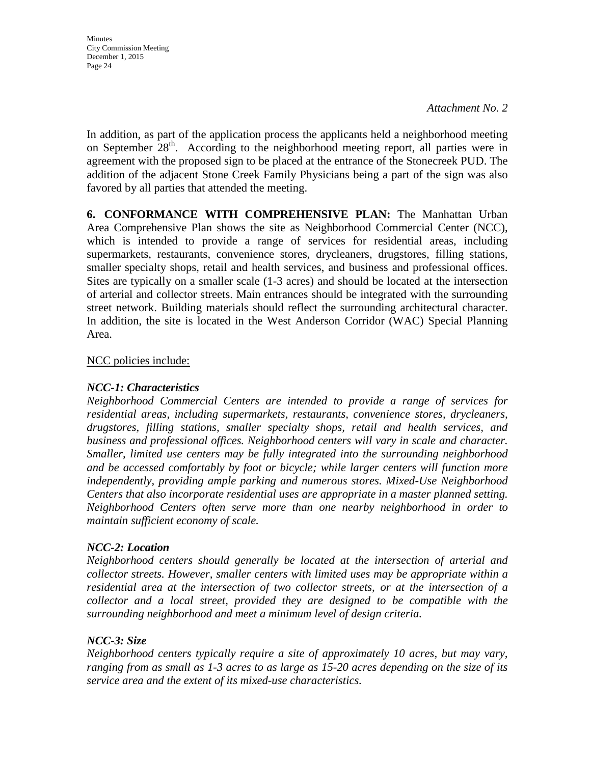*Attachment No. 2* 

In addition, as part of the application process the applicants held a neighborhood meeting on September  $28<sup>th</sup>$ . According to the neighborhood meeting report, all parties were in agreement with the proposed sign to be placed at the entrance of the Stonecreek PUD. The addition of the adjacent Stone Creek Family Physicians being a part of the sign was also favored by all parties that attended the meeting.

**6. CONFORMANCE WITH COMPREHENSIVE PLAN:** The Manhattan Urban Area Comprehensive Plan shows the site as Neighborhood Commercial Center (NCC), which is intended to provide a range of services for residential areas, including supermarkets, restaurants, convenience stores, drycleaners, drugstores, filling stations, smaller specialty shops, retail and health services, and business and professional offices. Sites are typically on a smaller scale (1-3 acres) and should be located at the intersection of arterial and collector streets. Main entrances should be integrated with the surrounding street network. Building materials should reflect the surrounding architectural character. In addition, the site is located in the West Anderson Corridor (WAC) Special Planning Area.

#### NCC policies include:

#### *NCC-1: Characteristics*

*Neighborhood Commercial Centers are intended to provide a range of services for residential areas, including supermarkets, restaurants, convenience stores, drycleaners, drugstores, filling stations, smaller specialty shops, retail and health services, and business and professional offices. Neighborhood centers will vary in scale and character. Smaller, limited use centers may be fully integrated into the surrounding neighborhood and be accessed comfortably by foot or bicycle; while larger centers will function more independently, providing ample parking and numerous stores. Mixed-Use Neighborhood Centers that also incorporate residential uses are appropriate in a master planned setting. Neighborhood Centers often serve more than one nearby neighborhood in order to maintain sufficient economy of scale.* 

#### *NCC-2: Location*

*Neighborhood centers should generally be located at the intersection of arterial and collector streets. However, smaller centers with limited uses may be appropriate within a residential area at the intersection of two collector streets, or at the intersection of a collector and a local street, provided they are designed to be compatible with the surrounding neighborhood and meet a minimum level of design criteria.* 

#### *NCC-3: Size*

*Neighborhood centers typically require a site of approximately 10 acres, but may vary, ranging from as small as 1-3 acres to as large as 15-20 acres depending on the size of its service area and the extent of its mixed-use characteristics.*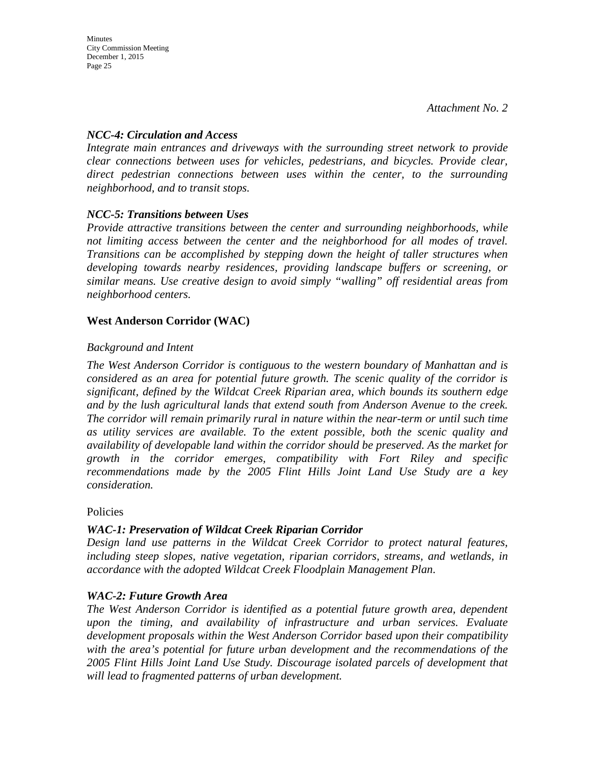#### *NCC-4: Circulation and Access*

*Integrate main entrances and driveways with the surrounding street network to provide clear connections between uses for vehicles, pedestrians, and bicycles. Provide clear, direct pedestrian connections between uses within the center, to the surrounding neighborhood, and to transit stops.* 

#### *NCC-5: Transitions between Uses*

*Provide attractive transitions between the center and surrounding neighborhoods, while not limiting access between the center and the neighborhood for all modes of travel. Transitions can be accomplished by stepping down the height of taller structures when developing towards nearby residences, providing landscape buffers or screening, or similar means. Use creative design to avoid simply "walling" off residential areas from neighborhood centers.* 

#### **West Anderson Corridor (WAC)**

#### *Background and Intent*

*The West Anderson Corridor is contiguous to the western boundary of Manhattan and is considered as an area for potential future growth. The scenic quality of the corridor is significant, defined by the Wildcat Creek Riparian area, which bounds its southern edge and by the lush agricultural lands that extend south from Anderson Avenue to the creek. The corridor will remain primarily rural in nature within the near-term or until such time as utility services are available. To the extent possible, both the scenic quality and availability of developable land within the corridor should be preserved. As the market for growth in the corridor emerges, compatibility with Fort Riley and specific recommendations made by the 2005 Flint Hills Joint Land Use Study are a key consideration.* 

Policies

### *WAC-1: Preservation of Wildcat Creek Riparian Corridor*

*Design land use patterns in the Wildcat Creek Corridor to protect natural features, including steep slopes, native vegetation, riparian corridors, streams, and wetlands, in accordance with the adopted Wildcat Creek Floodplain Management Plan.* 

#### *WAC-2: Future Growth Area*

*The West Anderson Corridor is identified as a potential future growth area, dependent upon the timing, and availability of infrastructure and urban services. Evaluate development proposals within the West Anderson Corridor based upon their compatibility with the area's potential for future urban development and the recommendations of the 2005 Flint Hills Joint Land Use Study. Discourage isolated parcels of development that will lead to fragmented patterns of urban development.*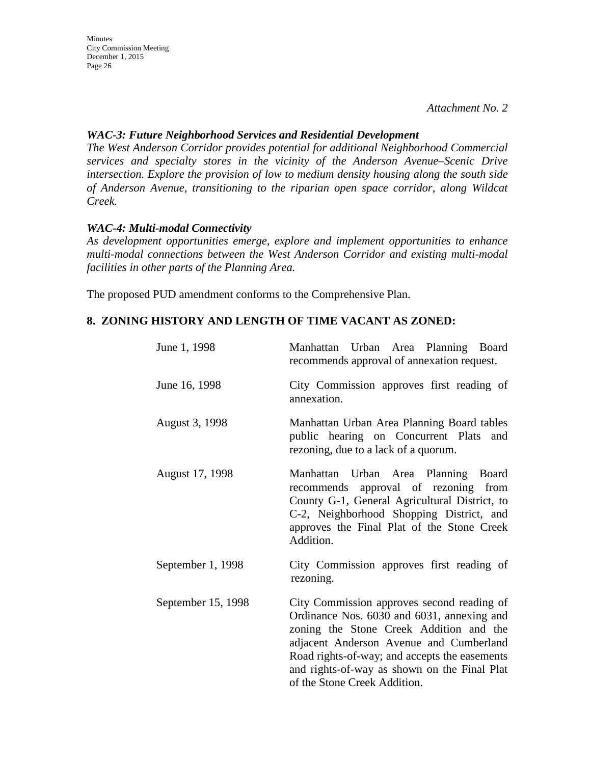*Attachment No. 2* 

#### *WAC-3: Future Neighborhood Services and Residential Development*

*The West Anderson Corridor provides potential for additional Neighborhood Commercial services and specialty stores in the vicinity of the Anderson Avenue–Scenic Drive intersection. Explore the provision of low to medium density housing along the south side of Anderson Avenue, transitioning to the riparian open space corridor, along Wildcat Creek.* 

#### *WAC-4: Multi-modal Connectivity*

*As development opportunities emerge, explore and implement opportunities to enhance multi-modal connections between the West Anderson Corridor and existing multi-modal facilities in other parts of the Planning Area.* 

The proposed PUD amendment conforms to the Comprehensive Plan.

#### **8. ZONING HISTORY AND LENGTH OF TIME VACANT AS ZONED:**

| June 1, 1998       | Manhattan Urban Area Planning Board<br>recommends approval of annexation request.                                                                                                                                                                                                                               |
|--------------------|-----------------------------------------------------------------------------------------------------------------------------------------------------------------------------------------------------------------------------------------------------------------------------------------------------------------|
| June 16, 1998      | City Commission approves first reading of<br>annexation.                                                                                                                                                                                                                                                        |
| August 3, 1998     | Manhattan Urban Area Planning Board tables<br>public hearing on Concurrent Plats<br>and<br>rezoning, due to a lack of a quorum.                                                                                                                                                                                 |
| August 17, 1998    | Manhattan Urban Area Planning Board<br>approval of rezoning from<br>recommends<br>County G-1, General Agricultural District, to<br>C-2, Neighborhood Shopping District, and<br>approves the Final Plat of the Stone Creek<br>Addition.                                                                          |
| September 1, 1998  | City Commission approves first reading of<br>rezoning.                                                                                                                                                                                                                                                          |
| September 15, 1998 | City Commission approves second reading of<br>Ordinance Nos. 6030 and 6031, annexing and<br>zoning the Stone Creek Addition and the<br>adjacent Anderson Avenue and Cumberland<br>Road rights-of-way; and accepts the easements<br>and rights-of-way as shown on the Final Plat<br>of the Stone Creek Addition. |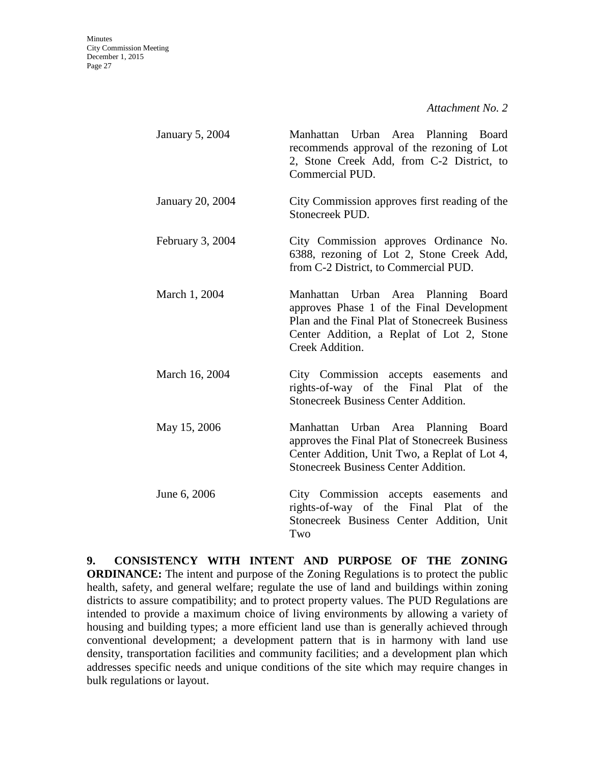| January 5, 2004         | Manhattan Urban Area Planning Board<br>recommends approval of the rezoning of Lot<br>2, Stone Creek Add, from C-2 District, to<br>Commercial PUD.                                                  |
|-------------------------|----------------------------------------------------------------------------------------------------------------------------------------------------------------------------------------------------|
| <b>January 20, 2004</b> | City Commission approves first reading of the<br>Stonecreek PUD.                                                                                                                                   |
| February 3, 2004        | City Commission approves Ordinance No.<br>6388, rezoning of Lot 2, Stone Creek Add,<br>from C-2 District, to Commercial PUD.                                                                       |
| March 1, 2004           | Manhattan Urban Area Planning Board<br>approves Phase 1 of the Final Development<br>Plan and the Final Plat of Stonecreek Business<br>Center Addition, a Replat of Lot 2, Stone<br>Creek Addition. |
| March 16, 2004          | City Commission accepts easements<br>and<br>rights-of-way of the Final Plat of<br>the<br><b>Stonecreek Business Center Addition.</b>                                                               |
| May 15, 2006            | Manhattan Urban Area Planning Board<br>approves the Final Plat of Stonecreek Business<br>Center Addition, Unit Two, a Replat of Lot 4,<br><b>Stonecreek Business Center Addition.</b>              |
| June 6, 2006            | City Commission accepts easements<br>and<br>rights-of-way of the Final Plat of<br>the<br>Stonecreek Business Center Addition, Unit<br>Two                                                          |

**9. CONSISTENCY WITH INTENT AND PURPOSE OF THE ZONING ORDINANCE:** The intent and purpose of the Zoning Regulations is to protect the public health, safety, and general welfare; regulate the use of land and buildings within zoning districts to assure compatibility; and to protect property values. The PUD Regulations are intended to provide a maximum choice of living environments by allowing a variety of housing and building types; a more efficient land use than is generally achieved through conventional development; a development pattern that is in harmony with land use density, transportation facilities and community facilities; and a development plan which addresses specific needs and unique conditions of the site which may require changes in bulk regulations or layout.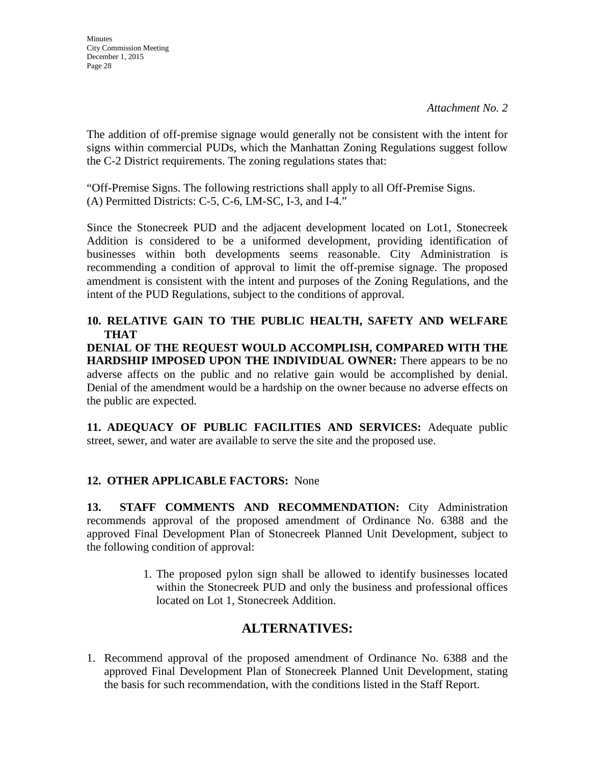The addition of off-premise signage would generally not be consistent with the intent for signs within commercial PUDs, which the Manhattan Zoning Regulations suggest follow the C-2 District requirements. The zoning regulations states that:

"Off-Premise Signs. The following restrictions shall apply to all Off-Premise Signs. (A) Permitted Districts: C-5, C-6, LM-SC, I-3, and I-4."

Since the Stonecreek PUD and the adjacent development located on Lot1, Stonecreek Addition is considered to be a uniformed development, providing identification of businesses within both developments seems reasonable. City Administration is recommending a condition of approval to limit the off-premise signage. The proposed amendment is consistent with the intent and purposes of the Zoning Regulations, and the intent of the PUD Regulations, subject to the conditions of approval.

**10. RELATIVE GAIN TO THE PUBLIC HEALTH, SAFETY AND WELFARE THAT** 

**DENIAL OF THE REQUEST WOULD ACCOMPLISH, COMPARED WITH THE HARDSHIP IMPOSED UPON THE INDIVIDUAL OWNER:** There appears to be no adverse affects on the public and no relative gain would be accomplished by denial. Denial of the amendment would be a hardship on the owner because no adverse effects on the public are expected.

**11. ADEQUACY OF PUBLIC FACILITIES AND SERVICES:** Adequate public street, sewer, and water are available to serve the site and the proposed use.

### **12. OTHER APPLICABLE FACTORS:** None

**13. STAFF COMMENTS AND RECOMMENDATION:** City Administration recommends approval of the proposed amendment of Ordinance No. 6388 and the approved Final Development Plan of Stonecreek Planned Unit Development, subject to the following condition of approval:

> 1. The proposed pylon sign shall be allowed to identify businesses located within the Stonecreek PUD and only the business and professional offices located on Lot 1, Stonecreek Addition.

### **ALTERNATIVES:**

1. Recommend approval of the proposed amendment of Ordinance No. 6388 and the approved Final Development Plan of Stonecreek Planned Unit Development, stating the basis for such recommendation, with the conditions listed in the Staff Report.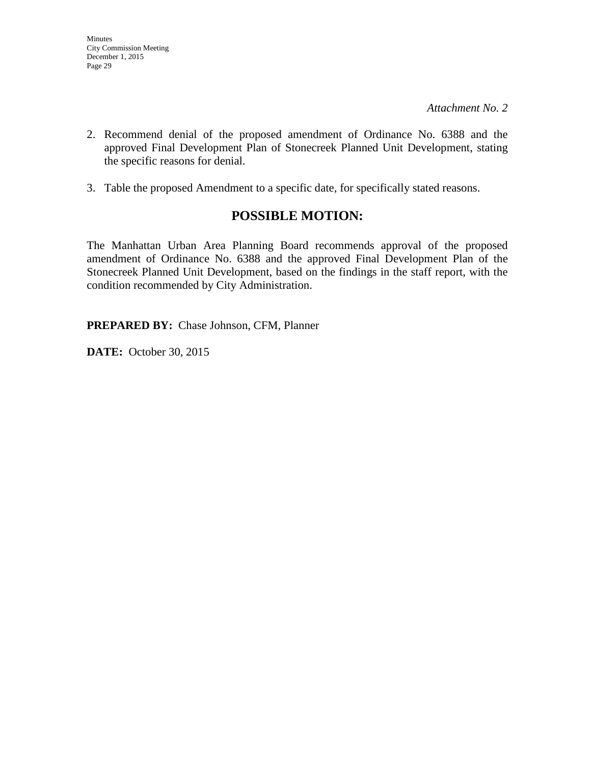- 2. Recommend denial of the proposed amendment of Ordinance No. 6388 and the approved Final Development Plan of Stonecreek Planned Unit Development, stating the specific reasons for denial.
- 3. Table the proposed Amendment to a specific date, for specifically stated reasons.

### **POSSIBLE MOTION:**

The Manhattan Urban Area Planning Board recommends approval of the proposed amendment of Ordinance No. 6388 and the approved Final Development Plan of the Stonecreek Planned Unit Development, based on the findings in the staff report, with the condition recommended by City Administration.

**PREPARED BY:** Chase Johnson, CFM, Planner

**DATE:** October 30, 2015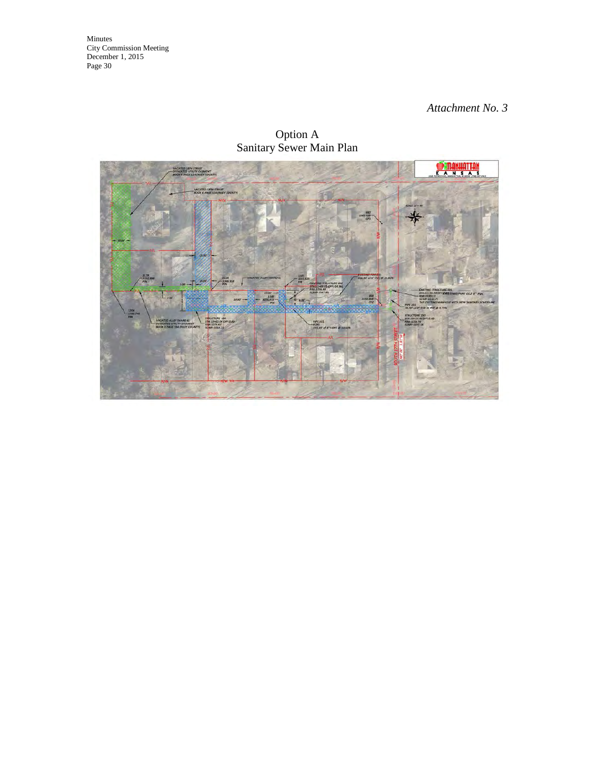#### *Attachment No. 3*

Option A Sanitary Sewer Main Plan

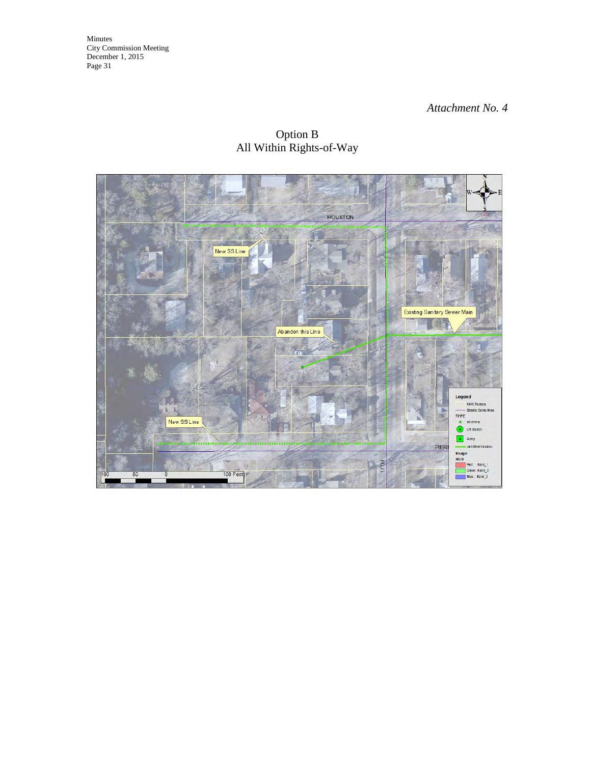#### *Attachment No. 4*